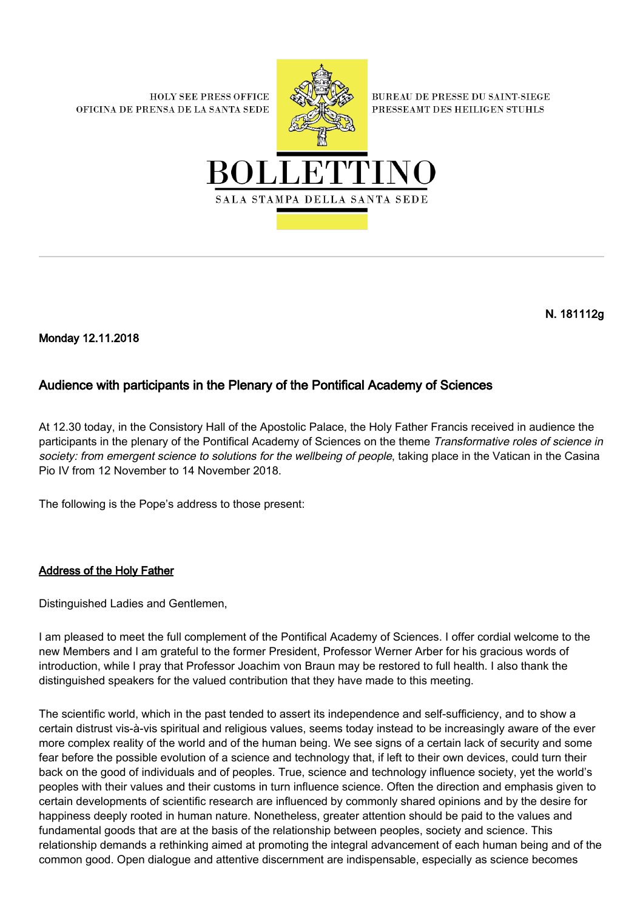**HOLY SEE PRESS OFFICE** OFICINA DE PRENSA DE LA SANTA SEDE



**BUREAU DE PRESSE DU SAINT-SIEGE** PRESSEAMT DES HEILIGEN STUHLS



N. 181112g

Monday 12.11.2018

## Audience with participants in the Plenary of the Pontifical Academy of Sciences

At 12.30 today, in the Consistory Hall of the Apostolic Palace, the Holy Father Francis received in audience the participants in the plenary of the Pontifical Academy of Sciences on the theme Transformative roles of science in society: from emergent science to solutions for the wellbeing of people, taking place in the Vatican in the Casina Pio IV from 12 November to 14 November 2018.

The following is the Pope's address to those present:

## Address of the Holy Father

Distinguished Ladies and Gentlemen,

I am pleased to meet the full complement of the Pontifical Academy of Sciences. I offer cordial welcome to the new Members and I am grateful to the former President, Professor Werner Arber for his gracious words of introduction, while I pray that Professor Joachim von Braun may be restored to full health. I also thank the distinguished speakers for the valued contribution that they have made to this meeting.

The scientific world, which in the past tended to assert its independence and self-sufficiency, and to show a certain distrust vis-à-vis spiritual and religious values, seems today instead to be increasingly aware of the ever more complex reality of the world and of the human being. We see signs of a certain lack of security and some fear before the possible evolution of a science and technology that, if left to their own devices, could turn their back on the good of individuals and of peoples. True, science and technology influence society, yet the world's peoples with their values and their customs in turn influence science. Often the direction and emphasis given to certain developments of scientific research are influenced by commonly shared opinions and by the desire for happiness deeply rooted in human nature. Nonetheless, greater attention should be paid to the values and fundamental goods that are at the basis of the relationship between peoples, society and science. This relationship demands a rethinking aimed at promoting the integral advancement of each human being and of the common good. Open dialogue and attentive discernment are indispensable, especially as science becomes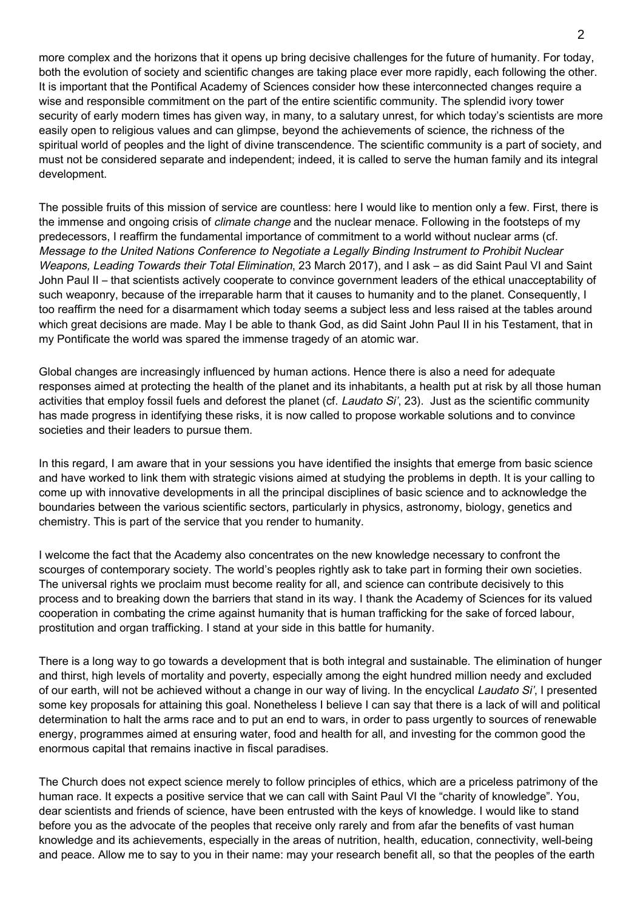more complex and the horizons that it opens up bring decisive challenges for the future of humanity. For today, both the evolution of society and scientific changes are taking place ever more rapidly, each following the other. It is important that the Pontifical Academy of Sciences consider how these interconnected changes require a wise and responsible commitment on the part of the entire scientific community. The splendid ivory tower security of early modern times has given way, in many, to a salutary unrest, for which today's scientists are more easily open to religious values and can glimpse, beyond the achievements of science, the richness of the spiritual world of peoples and the light of divine transcendence. The scientific community is a part of society, and must not be considered separate and independent; indeed, it is called to serve the human family and its integral development.

The possible fruits of this mission of service are countless: here I would like to mention only a few. First, there is the immense and ongoing crisis of *climate change* and the nuclear menace. Following in the footsteps of my predecessors, I reaffirm the fundamental importance of commitment to a world without nuclear arms (cf. Message to the United Nations Conference to Negotiate a Legally Binding Instrument to Prohibit Nuclear Weapons, Leading Towards their Total Elimination, 23 March 2017), and I ask – as did Saint Paul VI and Saint John Paul II – that scientists actively cooperate to convince government leaders of the ethical unacceptability of such weaponry, because of the irreparable harm that it causes to humanity and to the planet. Consequently, I too reaffirm the need for a disarmament which today seems a subject less and less raised at the tables around which great decisions are made. May I be able to thank God, as did Saint John Paul II in his Testament, that in my Pontificate the world was spared the immense tragedy of an atomic war.

Global changes are increasingly influenced by human actions. Hence there is also a need for adequate responses aimed at protecting the health of the planet and its inhabitants, a health put at risk by all those human activities that employ fossil fuels and deforest the planet (cf. *Laudato Si'*, 23). Just as the scientific community has made progress in identifying these risks, it is now called to propose workable solutions and to convince societies and their leaders to pursue them.

In this regard, I am aware that in your sessions you have identified the insights that emerge from basic science and have worked to link them with strategic visions aimed at studying the problems in depth. It is your calling to come up with innovative developments in all the principal disciplines of basic science and to acknowledge the boundaries between the various scientific sectors, particularly in physics, astronomy, biology, genetics and chemistry. This is part of the service that you render to humanity.

I welcome the fact that the Academy also concentrates on the new knowledge necessary to confront the scourges of contemporary society. The world's peoples rightly ask to take part in forming their own societies. The universal rights we proclaim must become reality for all, and science can contribute decisively to this process and to breaking down the barriers that stand in its way. I thank the Academy of Sciences for its valued cooperation in combating the crime against humanity that is human trafficking for the sake of forced labour, prostitution and organ trafficking. I stand at your side in this battle for humanity.

There is a long way to go towards a development that is both integral and sustainable. The elimination of hunger and thirst, high levels of mortality and poverty, especially among the eight hundred million needy and excluded of our earth, will not be achieved without a change in our way of living. In the encyclical Laudato Si', I presented some key proposals for attaining this goal. Nonetheless I believe I can say that there is a lack of will and political determination to halt the arms race and to put an end to wars, in order to pass urgently to sources of renewable energy, programmes aimed at ensuring water, food and health for all, and investing for the common good the enormous capital that remains inactive in fiscal paradises.

The Church does not expect science merely to follow principles of ethics, which are a priceless patrimony of the human race. It expects a positive service that we can call with Saint Paul VI the "charity of knowledge". You, dear scientists and friends of science, have been entrusted with the keys of knowledge. I would like to stand before you as the advocate of the peoples that receive only rarely and from afar the benefits of vast human knowledge and its achievements, especially in the areas of nutrition, health, education, connectivity, well-being and peace. Allow me to say to you in their name: may your research benefit all, so that the peoples of the earth